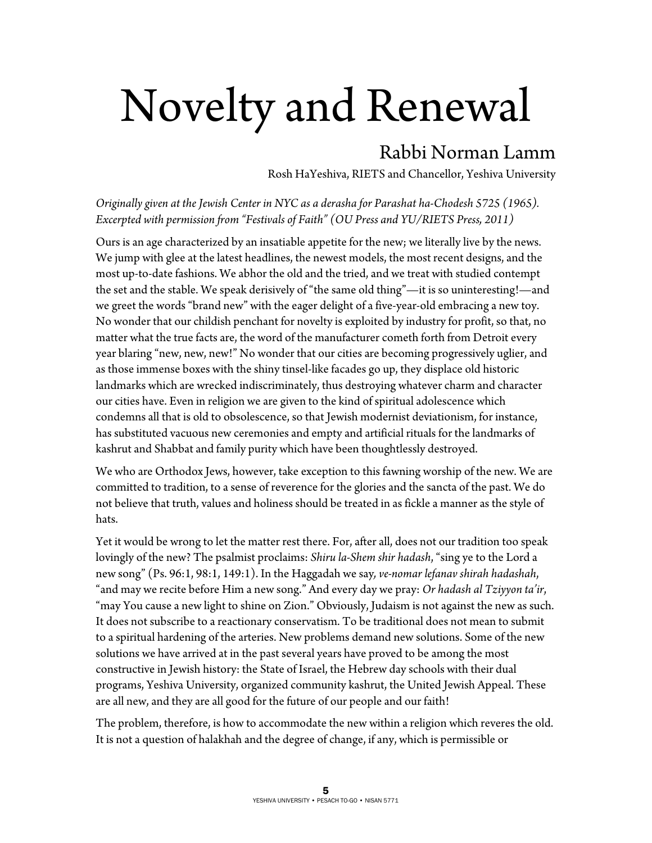## Novelty and Renewal

## Rabbi Norman Lamm

Rosh HaYeshiva, RIETS and Chancellor, Yeshiva University

*Originally given at the Jewish Center in NYC as a derasha for Parashat ha-Chodesh 5725 (1965). Excerpted with permission from "Festivals of Faith" (OU Press and YU/RIETS Press, 2011)* 

Ours is an age characterized by an insatiable appetite for the new; we literally live by the news. We jump with glee at the latest headlines, the newest models, the most recent designs, and the most up-to-date fashions. We abhor the old and the tried, and we treat with studied contempt the set and the stable. We speak derisively of "the same old thing"—it is so uninteresting!—and we greet the words "brand new" with the eager delight of a five-year-old embracing a new toy. No wonder that our childish penchant for novelty is exploited by industry for profit, so that, no matter what the true facts are, the word of the manufacturer cometh forth from Detroit every year blaring "new, new, new!" No wonder that our cities are becoming progressively uglier, and as those immense boxes with the shiny tinsel-like facades go up, they displace old historic landmarks which are wrecked indiscriminately, thus destroying whatever charm and character our cities have. Even in religion we are given to the kind of spiritual adolescence which condemns all that is old to obsolescence, so that Jewish modernist deviationism, for instance, has substituted vacuous new ceremonies and empty and artificial rituals for the landmarks of kashrut and Shabbat and family purity which have been thoughtlessly destroyed.

We who are Orthodox Jews, however, take exception to this fawning worship of the new. We are committed to tradition, to a sense of reverence for the glories and the sancta of the past. We do not believe that truth, values and holiness should be treated in as fickle a manner as the style of hats.

Yet it would be wrong to let the matter rest there. For, after all, does not our tradition too speak lovingly of the new? The psalmist proclaims: *Shiru la-Shem shir hadash*, "sing ye to the Lord a new song" (Ps. 96:1, 98:1, 149:1). In the Haggadah we say*, ve-nomar lefanav shirah hadashah*, "and may we recite before Him a new song." And every day we pray: *Or hadash al Tziyyon ta'ir*, "may You cause a new light to shine on Zion." Obviously, Judaism is not against the new as such. It does not subscribe to a reactionary conservatism. To be traditional does not mean to submit to a spiritual hardening of the arteries. New problems demand new solutions. Some of the new solutions we have arrived at in the past several years have proved to be among the most constructive in Jewish history: the State of Israel, the Hebrew day schools with their dual programs, Yeshiva University, organized community kashrut, the United Jewish Appeal. These are all new, and they are all good for the future of our people and our faith!

The problem, therefore, is how to accommodate the new within a religion which reveres the old. It is not a question of halakhah and the degree of change, if any, which is permissible or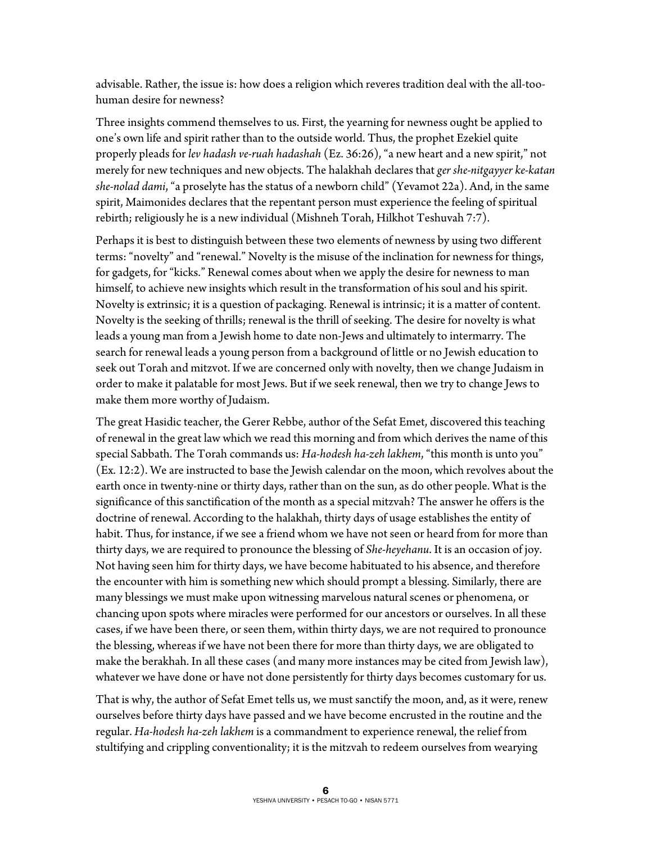advisable. Rather, the issue is: how does a religion which reveres tradition deal with the all-toohuman desire for newness?

Three insights commend themselves to us. First, the yearning for newness ought be applied to one's own life and spirit rather than to the outside world. Thus, the prophet Ezekiel quite properly pleads for *lev hadash ve-ruah hadashah* (Ez. 36:26), "a new heart and a new spirit," not merely for new techniques and new objects. The halakhah declares that *ger she-nitgayyer ke-katan she-nolad dami*, "a proselyte has the status of a newborn child" (Yevamot 22a). And, in the same spirit, Maimonides declares that the repentant person must experience the feeling of spiritual rebirth; religiously he is a new individual (Mishneh Torah, Hilkhot Teshuvah 7:7).

Perhaps it is best to distinguish between these two elements of newness by using two different terms: "novelty" and "renewal." Novelty is the misuse of the inclination for newness for things, for gadgets, for "kicks." Renewal comes about when we apply the desire for newness to man himself, to achieve new insights which result in the transformation of his soul and his spirit. Novelty is extrinsic; it is a question of packaging. Renewal is intrinsic; it is a matter of content. Novelty is the seeking of thrills; renewal is the thrill of seeking. The desire for novelty is what leads a young man from a Jewish home to date non-Jews and ultimately to intermarry. The search for renewal leads a young person from a background of little or no Jewish education to seek out Torah and mitzvot. If we are concerned only with novelty, then we change Judaism in order to make it palatable for most Jews. But if we seek renewal, then we try to change Jews to make them more worthy of Judaism.

The great Hasidic teacher, the Gerer Rebbe, author of the Sefat Emet, discovered this teaching of renewal in the great law which we read this morning and from which derives the name of this special Sabbath. The Torah commands us: *Ha-hodesh ha-zeh lakhem*, "this month is unto you" (Ex. 12:2). We are instructed to base the Jewish calendar on the moon, which revolves about the earth once in twenty-nine or thirty days, rather than on the sun, as do other people. What is the significance of this sanctification of the month as a special mitzvah? The answer he offers is the doctrine of renewal. According to the halakhah, thirty days of usage establishes the entity of habit. Thus, for instance, if we see a friend whom we have not seen or heard from for more than thirty days, we are required to pronounce the blessing of *She-heyehanu*. It is an occasion of joy. Not having seen him for thirty days, we have become habituated to his absence, and therefore the encounter with him is something new which should prompt a blessing. Similarly, there are many blessings we must make upon witnessing marvelous natural scenes or phenomena, or chancing upon spots where miracles were performed for our ancestors or ourselves. In all these cases, if we have been there, or seen them, within thirty days, we are not required to pronounce the blessing, whereas if we have not been there for more than thirty days, we are obligated to make the berakhah. In all these cases (and many more instances may be cited from Jewish law), whatever we have done or have not done persistently for thirty days becomes customary for us.

That is why, the author of Sefat Emet tells us, we must sanctify the moon, and, as it were, renew ourselves before thirty days have passed and we have become encrusted in the routine and the regular. *Ha-hodesh ha-zeh lakhem* is a commandment to experience renewal, the relief from stultifying and crippling conventionality; it is the mitzvah to redeem ourselves from wearying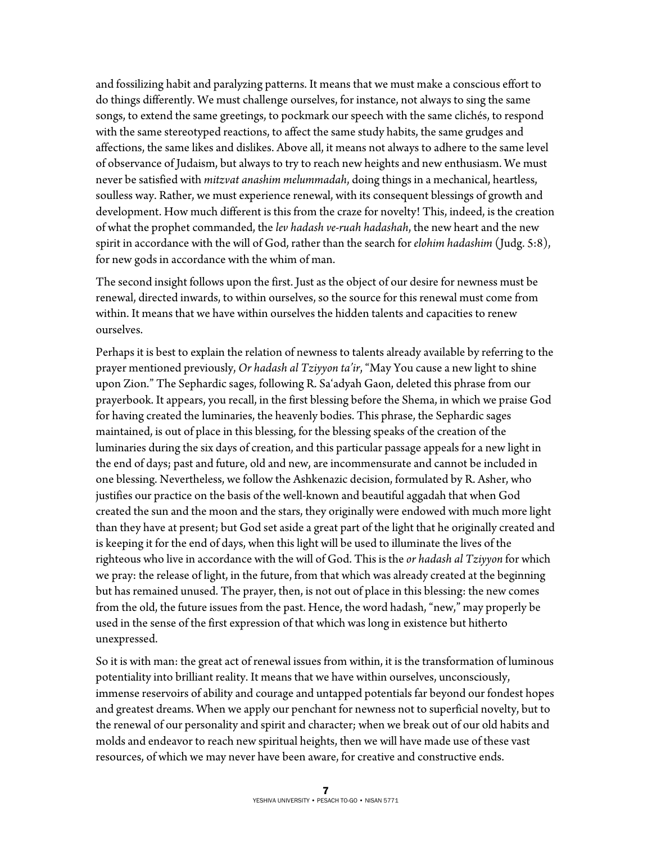and fossilizing habit and paralyzing patterns. It means that we must make a conscious effort to do things differently. We must challenge ourselves, for instance, not always to sing the same songs, to extend the same greetings, to pockmark our speech with the same clichés, to respond with the same stereotyped reactions, to affect the same study habits, the same grudges and affections, the same likes and dislikes. Above all, it means not always to adhere to the same level of observance of Judaism, but always to try to reach new heights and new enthusiasm. We must never be satisfied with *mitzvat anashim melummadah*, doing things in a mechanical, heartless, soulless way. Rather, we must experience renewal, with its consequent blessings of growth and development. How much different is this from the craze for novelty! This, indeed, is the creation of what the prophet commanded, the *lev hadash ve-ruah hadashah*, the new heart and the new spirit in accordance with the will of God, rather than the search for *elohim hadashim* (Judg. 5:8), for new gods in accordance with the whim of man.

The second insight follows upon the first. Just as the object of our desire for newness must be renewal, directed inwards, to within ourselves, so the source for this renewal must come from within. It means that we have within ourselves the hidden talents and capacities to renew ourselves.

Perhaps it is best to explain the relation of newness to talents already available by referring to the prayer mentioned previously, *Or hadash al Tziyyon ta'ir*, "May You cause a new light to shine upon Zion." The Sephardic sages, following R. Sa'adyah Gaon, deleted this phrase from our prayerbook. It appears, you recall, in the first blessing before the Shema, in which we praise God for having created the luminaries, the heavenly bodies. This phrase, the Sephardic sages maintained, is out of place in this blessing, for the blessing speaks of the creation of the luminaries during the six days of creation, and this particular passage appeals for a new light in the end of days; past and future, old and new, are incommensurate and cannot be included in one blessing. Nevertheless, we follow the Ashkenazic decision, formulated by R. Asher, who justifies our practice on the basis of the well-known and beautiful aggadah that when God created the sun and the moon and the stars, they originally were endowed with much more light than they have at present; but God set aside a great part of the light that he originally created and is keeping it for the end of days, when this light will be used to illuminate the lives of the righteous who live in accordance with the will of God. This is the *or hadash al Tziyyon* for which we pray: the release of light, in the future, from that which was already created at the beginning but has remained unused. The prayer, then, is not out of place in this blessing: the new comes from the old, the future issues from the past. Hence, the word hadash, "new," may properly be used in the sense of the first expression of that which was long in existence but hitherto unexpressed.

So it is with man: the great act of renewal issues from within, it is the transformation of luminous potentiality into brilliant reality. It means that we have within ourselves, unconsciously, immense reservoirs of ability and courage and untapped potentials far beyond our fondest hopes and greatest dreams. When we apply our penchant for newness not to superficial novelty, but to the renewal of our personality and spirit and character; when we break out of our old habits and molds and endeavor to reach new spiritual heights, then we will have made use of these vast resources, of which we may never have been aware, for creative and constructive ends.